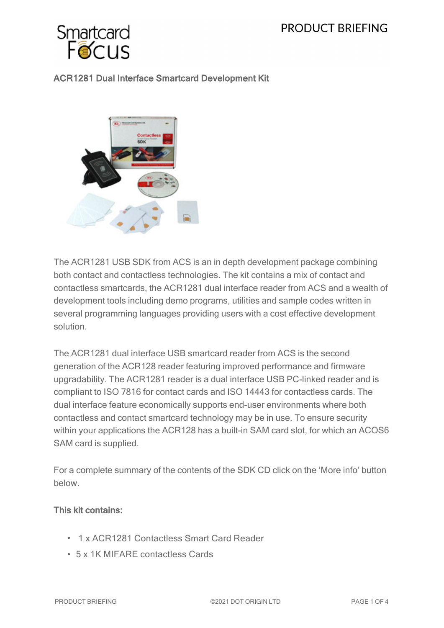

# ACR1281 Dual Interface Smartcard Development Kit



The ACR1281 USB SDK from ACS is an in depth development package combining both contact and contactless technologies. The kit contains a mix of contact and contactless smartcards, the ACR1281 dual interface reader from ACS and a wealth of development tools including demo programs, utilities and sample codes written in several programming languages providing users with a cost effective development solution.

The ACR1281 dual interface USB smartcard reader from ACS is the second generation of the ACR128 reader featuring improved performance and firmware upgradability. The ACR1281 reader is a dual interface USB PC-linked reader and is compliant to ISO 7816 for contact cards and ISO 14443 for contactless cards. The dual interface feature economically supports end-user environments where both contactless and contact smartcard technology may be in use. To ensure security within your applications the ACR128 has a built-in SAM card slot, for which an ACOS6 SAM card is supplied.

For a complete summary of the contents of the SDK CD click on the 'More info' button below.

### This kit contains:

- 1 x ACR1281 Contactless Smart Card Reader
- <sup>l</sup> 5 x 1K MIFARE contactless Cards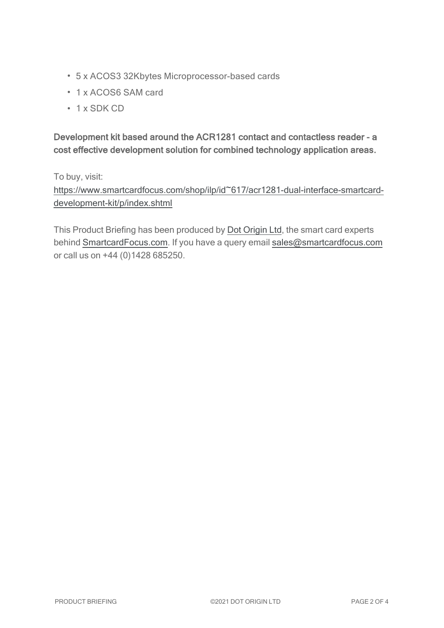- 5 x ACOS3 32Kbytes Microprocessor-based cards
- 1 x ACOS6 SAM card
- $\cdot$  1 x SDK CD

Development kit based around the ACR1281 contact and contactless reader - a cost effective development solution for combined technology application areas.

To buy, visit:

[https://www.smartcardfocus.com/shop/ilp/id~617/acr1281-dual-interface-smartcard](https://www.smartcardfocus.com/shop/ilp/id~617/acr1281-dual-interface-smartcard-development-kit/p/index.shtml?utm_source=download&utm_medium=pdf&utm_campaign=scf-product-pdf)[development-kit/p/index.shtml](https://www.smartcardfocus.com/shop/ilp/id~617/acr1281-dual-interface-smartcard-development-kit/p/index.shtml?utm_source=download&utm_medium=pdf&utm_campaign=scf-product-pdf)

This Product Briefing has been produced by Dot [Origin](https://www.dotorigin.com/) Ltd, the smart card experts behind [SmartcardFocus.com.](https://www.smartcardfocus.com/?utm_source=download&utm_medium=pdf&utm_campaign=scf-product-pdf) If you have a query email [sales@smartcardfocus.com](mailto:sales@smartcardfocus.com?subject=Product Briefing query) or call us on +44 (0)1428 685250.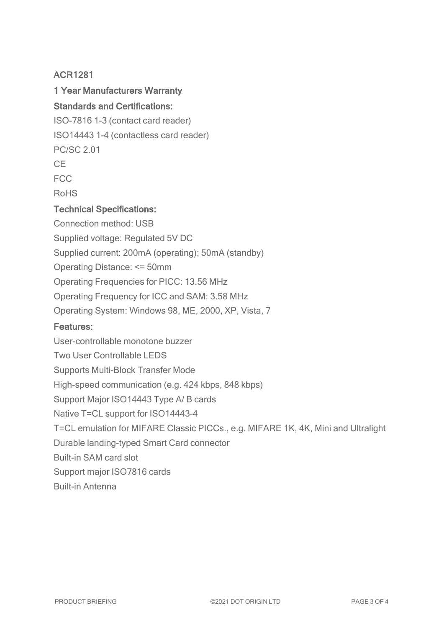## ACR1281

# 1 Year Manufacturers Warranty

# Standards and Certifications:

ISO-7816 1-3 (contact card reader)

ISO14443 1-4 (contactless card reader)

PC/SC 2.01

 $C_{\text{F}}$ 

FCC

RoHS

#### Technical Specifications:

Connection method: USB Supplied voltage: Regulated 5V DC Supplied current: 200mA (operating); 50mA (standby) Operating Distance: <= 50mm Operating Frequencies for PICC: 13.56 MHz Operating Frequency for ICC and SAM: 3.58 MHz Operating System: Windows 98, ME, 2000, XP, Vista, 7 Features: User-controllable monotone buzzer Two User Controllable LEDS Supports Multi-Block Transfer Mode High-speed communication (e.g. 424 kbps, 848 kbps) Support Major ISO14443 Type A/ B cards Native T=CL support for ISO14443-4 T=CL emulation for MIFARE Classic PICCs., e.g. MIFARE 1K, 4K, Mini and Ultralight Durable landing-typed Smart Card connector Built-in SAM card slot Support major ISO7816 cards Built-in Antenna